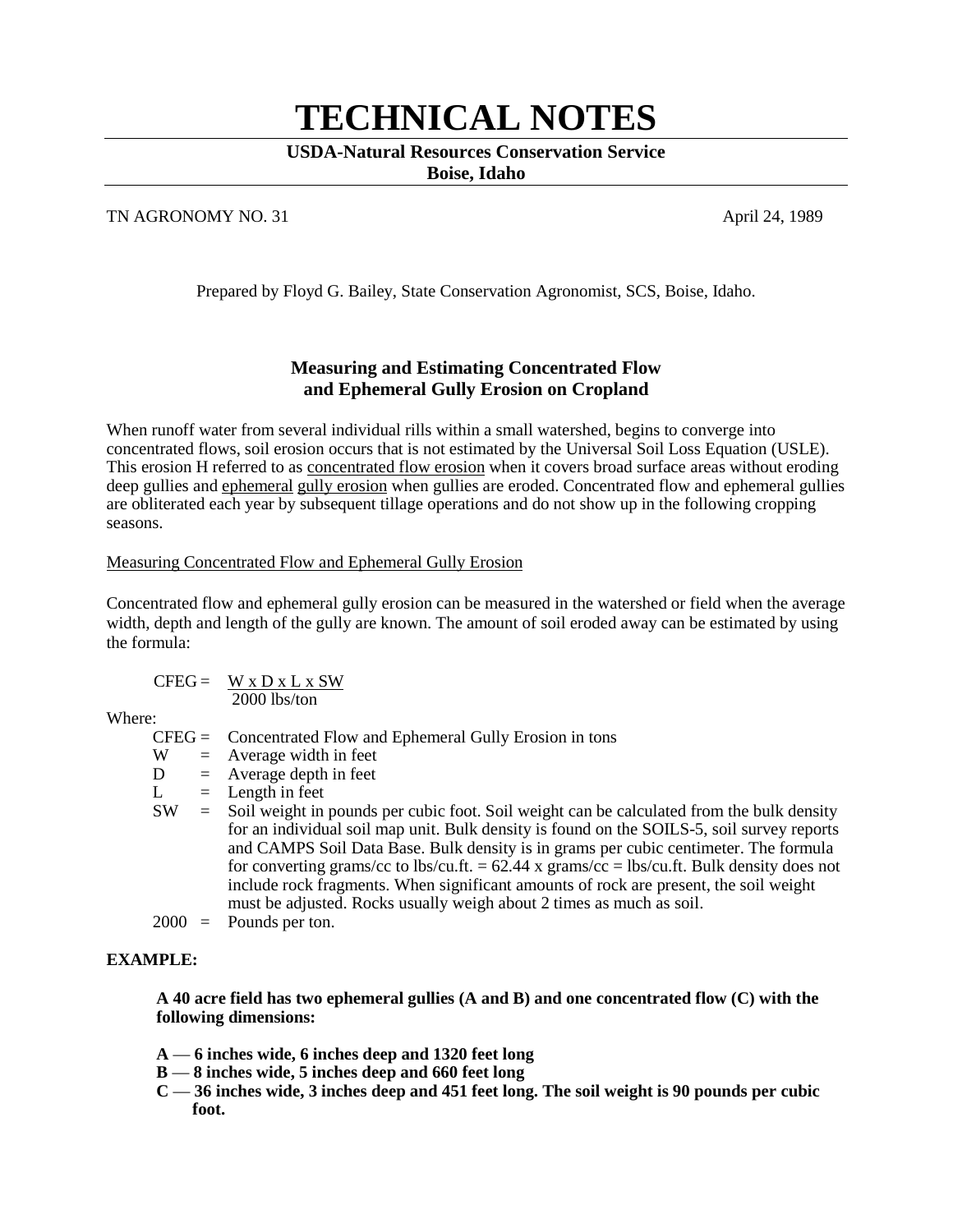# **TECHNICAL NOTES**

## **USDA-Natural Resources Conservation Service**

**Boise, Idaho**

### TN AGRONOMY NO. 31 April 24, 1989

Prepared by Floyd G. Bailey, State Conservation Agronomist, SCS, Boise, Idaho.

## **Measuring and Estimating Concentrated Flow and Ephemeral Gully Erosion on Cropland**

When runoff water from several individual rills within a small watershed, begins to converge into concentrated flows, soil erosion occurs that is not estimated by the Universal Soil Loss Equation (USLE). This erosion H referred to as concentrated flow erosion when it covers broad surface areas without eroding deep gullies and ephemeral gully erosion when gullies are eroded. Concentrated flow and ephemeral gullies are obliterated each year by subsequent tillage operations and do not show up in the following cropping seasons.

## Measuring Concentrated Flow and Ephemeral Gully Erosion

Concentrated flow and ephemeral gully erosion can be measured in the watershed or field when the average width, depth and length of the gully are known. The amount of soil eroded away can be estimated by using the formula:

 $CFEG = W x D x L x SW$ 2000 lbs/ton

Where:

 $CFEG =$  Concentrated Flow and Ephemeral Gully Erosion in tons<br>W = Average width in feet

- $=$  Average width in feet
- $D =$  Average depth in feet
- $L =$  Length in feet
- SW = Soil weight in pounds per cubic foot. Soil weight can be calculated from the bulk density for an individual soil map unit. Bulk density is found on the SOILS-5, soil survey reports and CAMPS Soil Data Base. Bulk density is in grams per cubic centimeter. The formula for converting grams/cc to lbs/cu.ft.  $= 62.44$  x grams/cc  $=$  lbs/cu.ft. Bulk density does not include rock fragments. When significant amounts of rock are present, the soil weight must be adjusted. Rocks usually weigh about 2 times as much as soil.
- 2000 = Pounds per ton.

## **EXAMPLE:**

**A 40 acre field has two ephemeral gullies (A and B) and one concentrated flow (C) with the following dimensions:**

- **A 6 inches wide, 6 inches deep and 1320 feet long**
- **B 8 inches wide, 5 inches deep and 660 feet long**
- **C 36 inches wide, 3 inches deep and 451 feet long. The soil weight is 90 pounds per cubic foot.**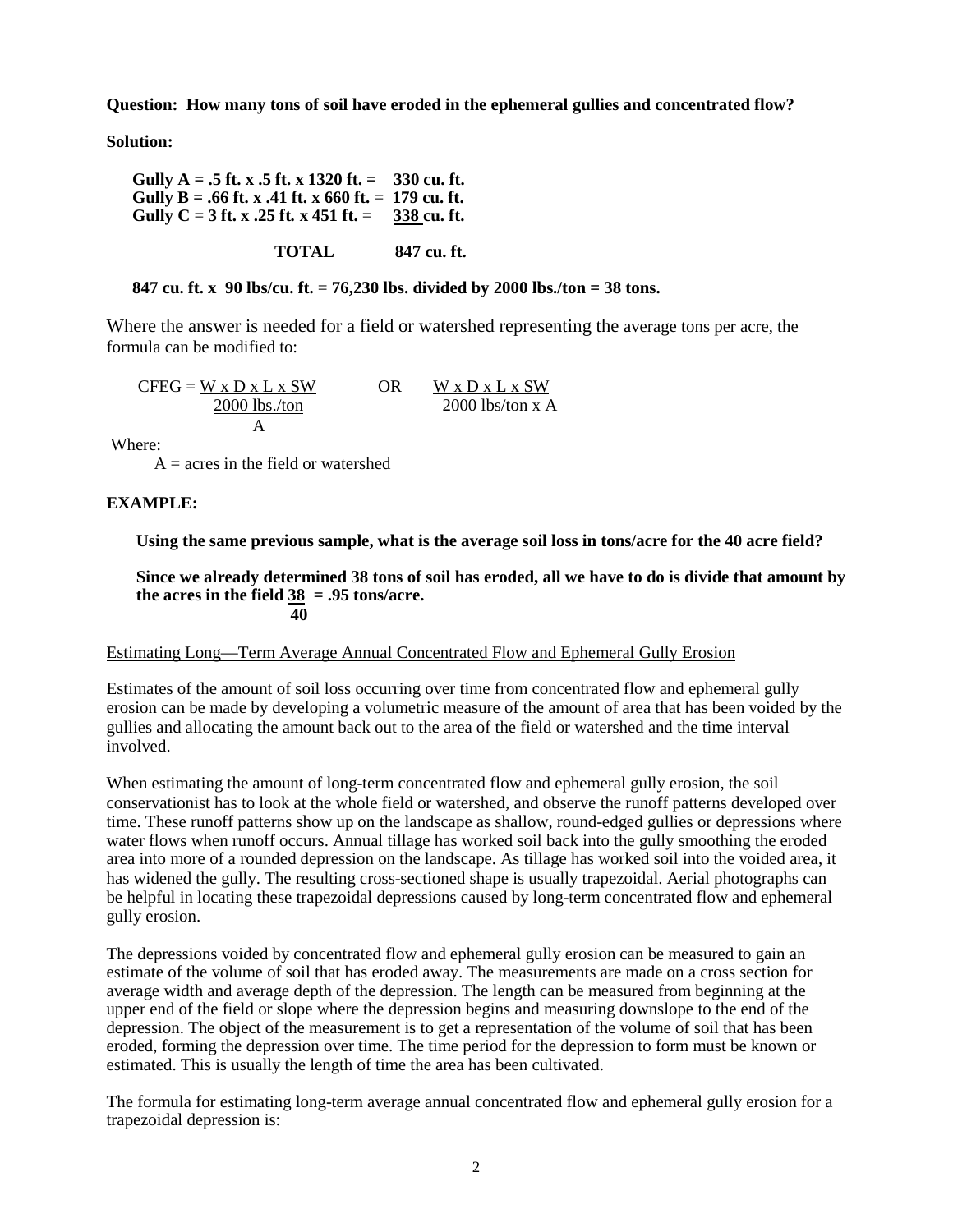**Question: How many tons of soil have eroded in the ephemeral gullies and concentrated flow?**

**Solution:**

**Gully A = .5 ft. x .5 ft. x 1320 ft. = 330 cu. ft.** Gully B = **.66 ft. x .41 ft. x 660 ft.** = 179 cu. ft.<br>Gully C = 3 ft. x .25 ft. x 451 ft. = 338 cu. ft. **Gully C** = 3 ft. **x** .25 ft. **x** 451 ft.  $=$ 

**TOTAL 847 cu. ft.**

**847 cu. ft. x 90 lbs/cu. ft.** = **76,230 lbs. divided by 2000 lbs./ton = 38 tons.**

Where the answer is needed for a field or watershed representing the average tons per acre, the formula can be modified to:

 $CFEG = W \times D \times L \times SW$  OR W x D x L x SW 2000 lbs./ton A 2000 lbs/ton x A

Where:

 $A = \text{acres}$  in the field or watershed

#### **EXAMPLE:**

**Using the same previous sample, what is the average soil loss in tons/acre for the 40 acre field?**

**Since we already determined 38 tons of soil has eroded, all we have to do is divide that amount by the acres in the field 38 = .95 tons/acre. 140** 

#### Estimating Long—Term Average Annual Concentrated Flow and Ephemeral Gully Erosion

Estimates of the amount of soil loss occurring over time from concentrated flow and ephemeral gully erosion can be made by developing a volumetric measure of the amount of area that has been voided by the gullies and allocating the amount back out to the area of the field or watershed and the time interval involved.

When estimating the amount of long-term concentrated flow and ephemeral gully erosion, the soil conservationist has to look at the whole field or watershed, and observe the runoff patterns developed over time. These runoff patterns show up on the landscape as shallow, round-edged gullies or depressions where water flows when runoff occurs. Annual tillage has worked soil back into the gully smoothing the eroded area into more of a rounded depression on the landscape. As tillage has worked soil into the voided area, it has widened the gully. The resulting cross-sectioned shape is usually trapezoidal. Aerial photographs can be helpful in locating these trapezoidal depressions caused by long-term concentrated flow and ephemeral gully erosion.

The depressions voided by concentrated flow and ephemeral gully erosion can be measured to gain an estimate of the volume of soil that has eroded away. The measurements are made on a cross section for average width and average depth of the depression. The length can be measured from beginning at the upper end of the field or slope where the depression begins and measuring downslope to the end of the depression. The object of the measurement is to get a representation of the volume of soil that has been eroded, forming the depression over time. The time period for the depression to form must be known or estimated. This is usually the length of time the area has been cultivated.

The formula for estimating long-term average annual concentrated flow and ephemeral gully erosion for a trapezoidal depression is: